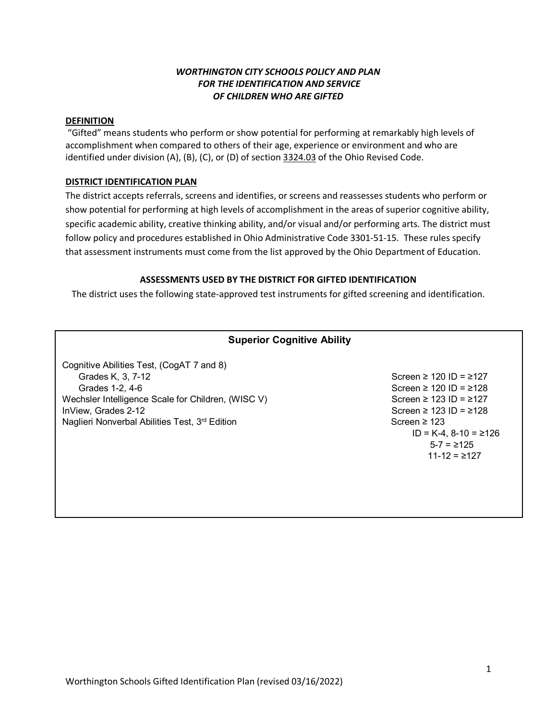## *WORTHINGTON CITY SCHOOLS POLICY AND PLAN FOR THE IDENTIFICATION AND SERVICE OF CHILDREN WHO ARE GIFTED*

## **DEFINITION**

"Gifted" means students who perform or show potential for performing at remarkably high levels of accomplishment when compared to others of their age, experience or environment and who are identified under division (A), (B), (C), or (D) of section 3324.03 of the Ohio Revised Code.

## **DISTRICT IDENTIFICATION PLAN**

The district accepts referrals, screens and identifies, or screens and reassesses students who perform or show potential for performing at high levels of accomplishment in the areas of superior cognitive ability, specific academic ability, creative thinking ability, and/or visual and/or performing arts. The district must follow policy and procedures established in Ohio Administrative Code 3301-51-15. These rules specify that assessment instruments must come from the list approved by the Ohio Department of Education.

## **ASSESSMENTS USED BY THE DISTRICT FOR GIFTED IDENTIFICATION**

The district uses the following state-approved test instruments for gifted screening and identification.

# **Superior Cognitive Ability**  Cognitive Abilities Test, (CogAT 7 and 8) Grades K, 3, 7-12  $S = 27$  Screen ≥ 120 ID = ≥127 Grades 1-2, 4-6  $\overline{S}$  Screen ≥ 120 ID = ≥128 Wechsler Intelligence Scale for Children, (WISC V) Screen ≥ 123 ID =  $\ge$ 127 InView, Grades 2-12  $\blacksquare$  Screen ≥ 123 ID = ≥128 Naglieri Nonverbal Abilities Test, 3<sup>rd</sup> Edition Screen ≥ 123 ID = K-4, 8-10 = ≥126  $5-7 = \ge 125$ 11-12 = ≥127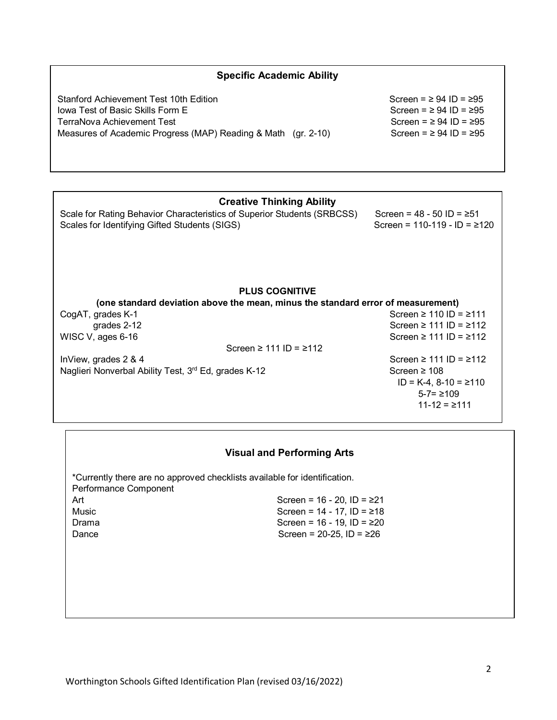| <b>Specific Academic Ability</b>                                                 |                                   |  |  |  |  |
|----------------------------------------------------------------------------------|-----------------------------------|--|--|--|--|
| Stanford Achievement Test 10th Edition                                           | Screen = $\geq$ 94 ID = $\geq$ 95 |  |  |  |  |
| <b>Iowa Test of Basic Skills Form E</b>                                          | Screen = $\geq$ 94 ID = $\geq$ 95 |  |  |  |  |
| TerraNova Achievement Test                                                       | Screen = $\geq$ 94 ID = $\geq$ 95 |  |  |  |  |
| Measures of Academic Progress (MAP) Reading & Math (gr. 2-10)                    | Screen = $\geq$ 94 ID = $\geq$ 95 |  |  |  |  |
|                                                                                  |                                   |  |  |  |  |
| <b>Creative Thinking Ability</b>                                                 |                                   |  |  |  |  |
| Scale for Rating Behavior Characteristics of Superior Students (SRBCSS)          | Screen = $48 - 50$ ID = $\ge 51$  |  |  |  |  |
| Scales for Identifying Gifted Students (SIGS)                                    | Screen = $110-119 - 1D = 2120$    |  |  |  |  |
|                                                                                  |                                   |  |  |  |  |
| <b>PLUS COGNITIVE</b>                                                            |                                   |  |  |  |  |
| (one standard deviation above the mean, minus the standard error of measurement) |                                   |  |  |  |  |
| CogAT, grades K-1                                                                | Screen $\geq$ 110 ID = $\geq$ 111 |  |  |  |  |
| grades 2-12                                                                      | Screen $\geq$ 111 ID = $\geq$ 112 |  |  |  |  |
| WISC V, ages 6-16<br>Screen $\geq$ 111 ID = $\geq$ 112                           | Screen $\geq$ 111 ID = $\geq$ 112 |  |  |  |  |
| InView, grades 2 & 4                                                             | Screen $\geq$ 111 ID = $\geq$ 112 |  |  |  |  |
| Naglieri Nonverbal Ability Test, 3rd Ed, grades K-12                             | Screen $\geq 108$                 |  |  |  |  |
|                                                                                  | $ID = K-4$ , $8-10 = \ge 110$     |  |  |  |  |
|                                                                                  | $5 - 7 = 2109$                    |  |  |  |  |
|                                                                                  | $11 - 12 = 2111$                  |  |  |  |  |
|                                                                                  |                                   |  |  |  |  |

|  | <b>Visual and Performing Arts</b> |  |
|--|-----------------------------------|--|
|  |                                   |  |

| *Currently there are no approved checklists available for identification.<br>Performance Component |                                     |
|----------------------------------------------------------------------------------------------------|-------------------------------------|
| Art                                                                                                | Screen = $16 - 20$ , ID = $\geq 21$ |
| Music                                                                                              | Screen = $14 - 17$ , ID = $\geq 18$ |
| Drama                                                                                              | Screen = $16 - 19$ , ID = $\geq 20$ |
| Dance                                                                                              | Screen = $20-25$ , ID = $\geq 26$   |
|                                                                                                    |                                     |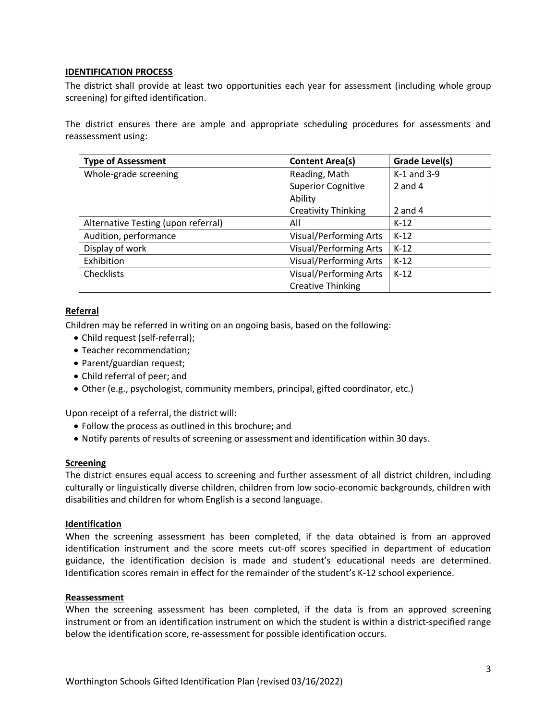## **IDENTIFICATION PROCESS**

The district shall provide at least two opportunities each year for assessment (including whole group screening) for gifted identification.

The district ensures there are ample and appropriate scheduling procedures for assessments and reassessment using:

| <b>Type of Assessment</b>           | <b>Content Area(s)</b>        | Grade Level(s) |
|-------------------------------------|-------------------------------|----------------|
| Whole-grade screening               | Reading, Math                 | K-1 and 3-9    |
|                                     | <b>Superior Cognitive</b>     | $2$ and $4$    |
|                                     | Ability                       |                |
|                                     | <b>Creativity Thinking</b>    | 2 and 4        |
| Alternative Testing (upon referral) | All                           | $K-12$         |
| Audition, performance               | <b>Visual/Performing Arts</b> | $K-12$         |
| Display of work                     | <b>Visual/Performing Arts</b> | $K-12$         |
| Exhibition                          | <b>Visual/Performing Arts</b> | $K-12$         |
| <b>Checklists</b>                   | <b>Visual/Performing Arts</b> | $K-12$         |
|                                     | <b>Creative Thinking</b>      |                |

## **Referral**

Children may be referred in writing on an ongoing basis, based on the following:

- Child request (self-referral);
- Teacher recommendation;
- Parent/guardian request;
- Child referral of peer; and
- Other (e.g., psychologist, community members, principal, gifted coordinator, etc.)

Upon receipt of a referral, the district will:

- Follow the process as outlined in this brochure; and
- Notify parents of results of screening or assessment and identification within 30 days.

#### **Screening**

The district ensures equal access to screening and further assessment of all district children, including culturally or linguistically diverse children, children from low socio-economic backgrounds, children with disabilities and children for whom English is a second language.

#### **Identification**

When the screening assessment has been completed, if the data obtained is from an approved identification instrument and the score meets cut-off scores specified in department of education guidance, the identification decision is made and student's educational needs are determined. Identification scores remain in effect for the remainder of the student's K-12 school experience.

#### **Reassessment**

When the screening assessment has been completed, if the data is from an approved screening instrument or from an identification instrument on which the student is within a district-specified range below the identification score, re-assessment for possible identification occurs.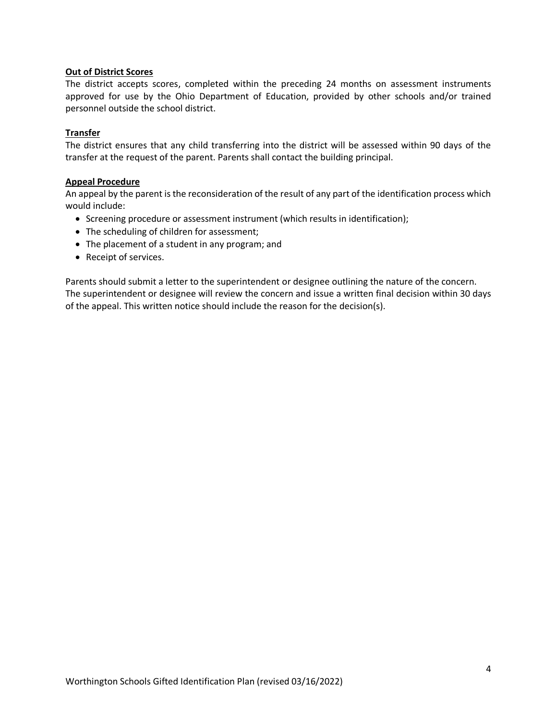## **Out of District Scores**

The district accepts scores, completed within the preceding 24 months on assessment instruments approved for use by the Ohio Department of Education, provided by other schools and/or trained personnel outside the school district.

## **Transfer**

The district ensures that any child transferring into the district will be assessed within 90 days of the transfer at the request of the parent. Parents shall contact the building principal.

## **Appeal Procedure**

An appeal by the parent is the reconsideration of the result of any part of the identification process which would include:

- Screening procedure or assessment instrument (which results in identification);
- The scheduling of children for assessment;
- The placement of a student in any program; and
- Receipt of services.

Parents should submit a letter to the superintendent or designee outlining the nature of the concern. The superintendent or designee will review the concern and issue a written final decision within 30 days of the appeal. This written notice should include the reason for the decision(s).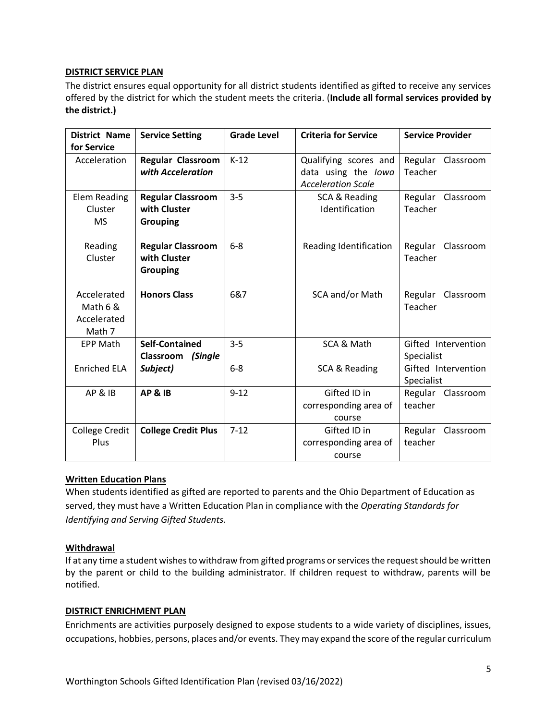## **DISTRICT SERVICE PLAN**

The district ensures equal opportunity for all district students identified as gifted to receive any services offered by the district for which the student meets the criteria. (**Include all formal services provided by the district.)** 

| <b>District Name</b>  | <b>Service Setting</b>     | <b>Grade Level</b> | <b>Criteria for Service</b> | <b>Service Provider</b> |
|-----------------------|----------------------------|--------------------|-----------------------------|-------------------------|
| for Service           |                            |                    |                             |                         |
| Acceleration          | Regular Classroom          | $K-12$             | Qualifying scores and       | Regular Classroom       |
|                       | with Acceleration          |                    | data using the lowa         | Teacher                 |
|                       |                            |                    | <b>Acceleration Scale</b>   |                         |
| Elem Reading          | <b>Regular Classroom</b>   | $3 - 5$            | SCA & Reading               | Regular Classroom       |
| Cluster               | with Cluster               |                    | Identification              | Teacher                 |
| <b>MS</b>             | <b>Grouping</b>            |                    |                             |                         |
|                       |                            |                    |                             |                         |
| Reading               | <b>Regular Classroom</b>   | $6 - 8$            | Reading Identification      | Regular<br>Classroom    |
| Cluster               | with Cluster               |                    |                             | Teacher                 |
|                       | <b>Grouping</b>            |                    |                             |                         |
|                       |                            |                    |                             |                         |
| Accelerated           | <b>Honors Class</b>        | 6&7                | SCA and/or Math             | Regular<br>Classroom    |
| Math 6 &              |                            |                    |                             | Teacher                 |
| Accelerated           |                            |                    |                             |                         |
| Math 7                |                            |                    |                             |                         |
| <b>EPP Math</b>       | <b>Self-Contained</b>      | $3 - 5$            | SCA & Math                  | Gifted Intervention     |
|                       | (Single<br>Classroom       |                    |                             | Specialist              |
| <b>Enriched ELA</b>   | Subject)                   | $6-8$              | SCA & Reading               | Gifted Intervention     |
|                       |                            |                    |                             | Specialist              |
| AP&IB                 | AP&IB                      | $9 - 12$           | Gifted ID in                | Regular Classroom       |
|                       |                            |                    | corresponding area of       | teacher                 |
|                       |                            |                    | course                      |                         |
| <b>College Credit</b> | <b>College Credit Plus</b> | $7 - 12$           | Gifted ID in                | Regular<br>Classroom    |
| Plus                  |                            |                    | corresponding area of       | teacher                 |
|                       |                            |                    | course                      |                         |

# **Written Education Plans**

When students identified as gifted are reported to parents and the Ohio Department of Education as served, they must have a Written Education Plan in compliance with the *Operating Standards for Identifying and Serving Gifted Students.*

## **Withdrawal**

If at any time a student wishes to withdraw from gifted programs or services the request should be written by the parent or child to the building administrator. If children request to withdraw, parents will be notified.

## **DISTRICT ENRICHMENT PLAN**

Enrichments are activities purposely designed to expose students to a wide variety of disciplines, issues, occupations, hobbies, persons, places and/or events. They may expand the score of the regular curriculum